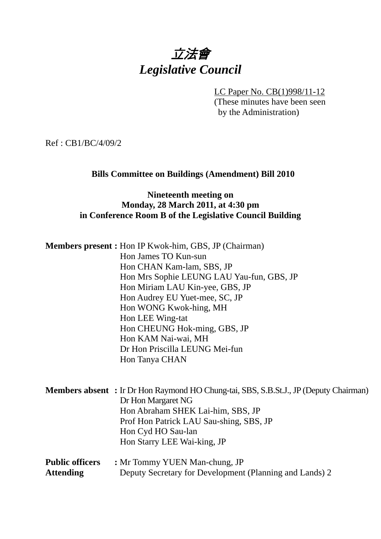# 立法會 *Legislative Council*

LC Paper No. CB(1)998/11-12 (These minutes have been seen by the Administration)

Ref : CB1/BC/4/09/2

#### **Bills Committee on Buildings (Amendment) Bill 2010**

#### **Nineteenth meeting on Monday, 28 March 2011, at 4:30 pm in Conference Room B of the Legislative Council Building**

| <b>Members present :</b> Hon IP Kwok-him, GBS, JP (Chairman) |                                                                                              |
|--------------------------------------------------------------|----------------------------------------------------------------------------------------------|
| Hon James TO Kun-sun                                         |                                                                                              |
| Hon CHAN Kam-lam, SBS, JP                                    |                                                                                              |
|                                                              | Hon Mrs Sophie LEUNG LAU Yau-fun, GBS, JP                                                    |
| Hon Miriam LAU Kin-yee, GBS, JP                              |                                                                                              |
| Hon Audrey EU Yuet-mee, SC, JP                               |                                                                                              |
| Hon WONG Kwok-hing, MH                                       |                                                                                              |
| Hon LEE Wing-tat                                             |                                                                                              |
| Hon CHEUNG Hok-ming, GBS, JP                                 |                                                                                              |
| Hon KAM Nai-wai, MH                                          |                                                                                              |
| Dr Hon Priscilla LEUNG Mei-fun                               |                                                                                              |
| Hon Tanya CHAN                                               |                                                                                              |
|                                                              |                                                                                              |
|                                                              | <b>Members absent</b> : Ir Dr Hon Raymond HO Chung-tai, SBS, S.B.St.J., JP (Deputy Chairman) |
| Dr Hon Margaret NG                                           |                                                                                              |
|                                                              | Hon Abraham SHEK Lai-him, SBS, JP                                                            |
|                                                              | Prof Hon Patrick LAU Sau-shing, SBS, JP                                                      |
| Hon Cyd HO Sau-lan                                           |                                                                                              |
| Hon Starry LEE Wai-king, JP                                  |                                                                                              |

| <b>Public officers</b> | : Mr Tommy YUEN Man-chung, JP                           |
|------------------------|---------------------------------------------------------|
| <b>Attending</b>       | Deputy Secretary for Development (Planning and Lands) 2 |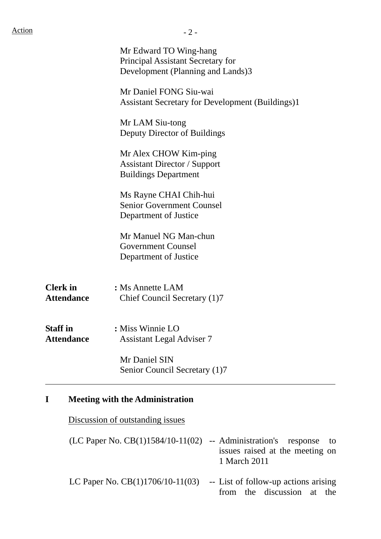|                                      | $-2-$                                                                                                   |
|--------------------------------------|---------------------------------------------------------------------------------------------------------|
|                                      | Mr Edward TO Wing-hang<br><b>Principal Assistant Secretary for</b><br>Development (Planning and Lands)3 |
|                                      | Mr Daniel FONG Siu-wai<br><b>Assistant Secretary for Development (Buildings)1</b>                       |
|                                      | Mr LAM Siu-tong<br>Deputy Director of Buildings                                                         |
|                                      | Mr Alex CHOW Kim-ping<br><b>Assistant Director / Support</b><br><b>Buildings Department</b>             |
|                                      | Ms Rayne CHAI Chih-hui<br><b>Senior Government Counsel</b><br>Department of Justice                     |
|                                      | Mr Manuel NG Man-chun<br><b>Government Counsel</b><br>Department of Justice                             |
| <b>Clerk</b> in<br><b>Attendance</b> | : Ms Annette LAM<br>Chief Council Secretary (1)7                                                        |
| <b>Staff</b> in<br><b>Attendance</b> | : Miss Winnie LO<br><b>Assistant Legal Adviser 7</b>                                                    |
|                                      | Mr Daniel SIN<br>Senior Council Secretary (1)7                                                          |

Discussion of outstanding issues

| $(LC$ Paper No. $CB(1)1584/10-11(02)$ -- Administration's response to | issues raised at the meeting on<br>1 March 2011                    |
|-----------------------------------------------------------------------|--------------------------------------------------------------------|
| LC Paper No. $CB(1)1706/10-11(03)$                                    | -- List of follow-up actions arising<br>from the discussion at the |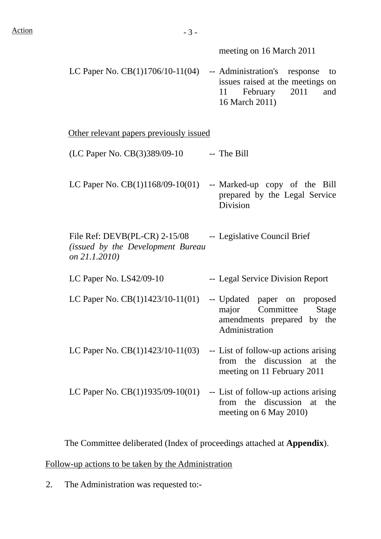meeting on 16 March 2011

LC Paper No. CB(1)1706/10-11(04) -- Administration's response to issues raised at the meetings on 11 February 2011 and 16 March 2011)

Other relevant papers previously issued

- $(LC$  Paper No.  $CB(3)389/09-10$  -- The Bill
- LC Paper No.  $CB(1)1168/09-10(01)$  -- Marked-up copy of the Bill prepared by the Legal Service Division

File Ref: DEVB(PL-CR) 2-15/08 *(issued by the Development Bureau on 21.1.2010)* -- Legislative Council Brief

- LC Paper No. LS42/09-10 -- Legal Service Division Report
- LC Paper No. CB(1)1423/10-11(01) -- Updated paper on proposed major Committee Stage amendments prepared by the Administration
- LC Paper No.  $CB(1)1423/10-11(03)$  -- List of follow-up actions arising from the discussion at the meeting on 11 February 2011
- LC Paper No.  $CB(1)1935/09-10(01)$  -- List of follow-up actions arising from the discussion at the meeting on 6 May 2010)

The Committee deliberated (Index of proceedings attached at **Appendix**).

Follow-up actions to be taken by the Administration

2. The Administration was requested to:-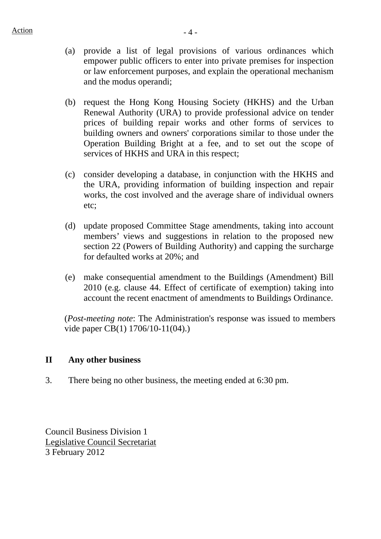- (a) provide a list of legal provisions of various ordinances which empower public officers to enter into private premises for inspection or law enforcement purposes, and explain the operational mechanism and the modus operandi;
- (b) request the Hong Kong Housing Society (HKHS) and the Urban Renewal Authority (URA) to provide professional advice on tender prices of building repair works and other forms of services to building owners and owners' corporations similar to those under the Operation Building Bright at a fee, and to set out the scope of services of HKHS and URA in this respect;
- (c) consider developing a database, in conjunction with the HKHS and the URA, providing information of building inspection and repair works, the cost involved and the average share of individual owners etc;
- (d) update proposed Committee Stage amendments, taking into account members' views and suggestions in relation to the proposed new section 22 (Powers of Building Authority) and capping the surcharge for defaulted works at 20%; and
- (e) make consequential amendment to the Buildings (Amendment) Bill 2010 (e.g. clause 44. Effect of certificate of exemption) taking into account the recent enactment of amendments to Buildings Ordinance.

(*Post-meeting note*: The Administration's response was issued to members vide paper CB(1) 1706/10-11(04).)

#### **II Any other business**

3. There being no other business, the meeting ended at 6:30 pm.

Council Business Division 1 Legislative Council Secretariat 3 February 2012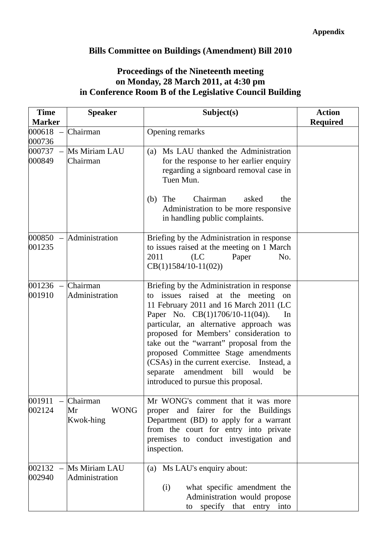## **Bills Committee on Buildings (Amendment) Bill 2010**

### **Proceedings of the Nineteenth meeting on Monday, 28 March 2011, at 4:30 pm in Conference Room B of the Legislative Council Building**

| <b>Time</b>          | <b>Speaker</b>                             | Subject(s)                                                                                                                                                                                                                                                                                                                                                                                                                                                                          | <b>Action</b>   |
|----------------------|--------------------------------------------|-------------------------------------------------------------------------------------------------------------------------------------------------------------------------------------------------------------------------------------------------------------------------------------------------------------------------------------------------------------------------------------------------------------------------------------------------------------------------------------|-----------------|
| <b>Marker</b>        |                                            |                                                                                                                                                                                                                                                                                                                                                                                                                                                                                     | <b>Required</b> |
| 000618<br>000736     | Chairman                                   | Opening remarks                                                                                                                                                                                                                                                                                                                                                                                                                                                                     |                 |
| 000737<br>000849     | Ms Miriam LAU<br>Chairman                  | (a) Ms LAU thanked the Administration<br>for the response to her earlier enquiry<br>regarding a signboard removal case in<br>Tuen Mun.<br>The<br>Chairman<br>asked<br>(b)<br>the                                                                                                                                                                                                                                                                                                    |                 |
|                      |                                            | Administration to be more responsive<br>in handling public complaints.                                                                                                                                                                                                                                                                                                                                                                                                              |                 |
| 000850<br>001235     | Administration                             | Briefing by the Administration in response<br>to issues raised at the meeting on 1 March<br>2011<br>No.<br>(LC)<br>Paper<br>$CB(1)1584/10-11(02))$                                                                                                                                                                                                                                                                                                                                  |                 |
| $001236 -$<br>001910 | Chairman<br>Administration                 | Briefing by the Administration in response<br>issues raised at the meeting<br>on<br>to<br>11 February 2011 and 16 March 2011 (LC<br>Paper No. CB(1)1706/10-11(04)).<br>In<br>particular, an alternative approach was<br>proposed for Members' consideration to<br>take out the "warrant" proposal from the<br>proposed Committee Stage amendments<br>(CSAs) in the current exercise. Instead, a<br>amendment bill<br>separate<br>would<br>be<br>introduced to pursue this proposal. |                 |
| 001911<br>002124     | Chairman<br><b>WONG</b><br>Mr<br>Kwok-hing | Mr WONG's comment that it was more<br>proper and fairer for the Buildings<br>Department (BD) to apply for a warrant<br>from the court for entry into private<br>premises to conduct investigation and<br>inspection.                                                                                                                                                                                                                                                                |                 |
| 002132<br>002940     | Ms Miriam LAU<br>Administration            | (a) Ms LAU's enquiry about:<br>what specific amendment the<br>(i)<br>Administration would propose<br>specify that entry into<br>to                                                                                                                                                                                                                                                                                                                                                  |                 |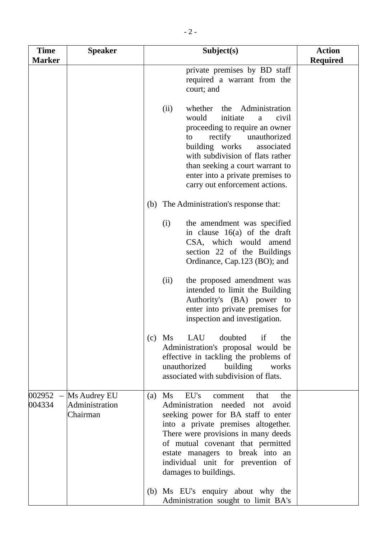| <b>Time</b><br><b>Marker</b> | <b>Speaker</b>                             | Subject(s)                                                                                                                                                                                                                                                                                                                                                           | <b>Action</b><br><b>Required</b> |
|------------------------------|--------------------------------------------|----------------------------------------------------------------------------------------------------------------------------------------------------------------------------------------------------------------------------------------------------------------------------------------------------------------------------------------------------------------------|----------------------------------|
|                              |                                            | private premises by BD staff<br>required a warrant from the<br>court; and                                                                                                                                                                                                                                                                                            |                                  |
|                              |                                            | whether the Administration<br>(ii)<br>would<br>initiate<br>civil<br>a<br>proceeding to require an owner<br>rectify<br>unauthorized<br>to<br>building works<br>associated<br>with subdivision of flats rather<br>than seeking a court warrant to<br>enter into a private premises to<br>carry out enforcement actions.                                                |                                  |
|                              |                                            | (b) The Administration's response that:                                                                                                                                                                                                                                                                                                                              |                                  |
|                              |                                            | (i)<br>the amendment was specified<br>in clause $16(a)$ of the draft<br>CSA, which would amend<br>section 22 of the Buildings<br>Ordinance, Cap.123 (BO); and                                                                                                                                                                                                        |                                  |
|                              |                                            | the proposed amendment was<br>(ii)<br>intended to limit the Building<br>Authority's (BA) power to<br>enter into private premises for<br>inspection and investigation.                                                                                                                                                                                                |                                  |
|                              |                                            | LAU<br>doubted<br>Ms<br>if<br>the<br>(c)<br>Administration's proposal would be<br>effective in tackling the problems of<br>building<br>unauthorized<br>works<br>associated with subdivision of flats.                                                                                                                                                                |                                  |
| $002952 -$<br>004334         | Ms Audrey EU<br>Administration<br>Chairman | EU's<br>$\overline{\text{Ms}}$<br>the<br>that<br>(a)<br>comment<br>needed not<br>Administration<br>avoid<br>seeking power for BA staff to enter<br>into a private premises altogether.<br>There were provisions in many deeds<br>of mutual covenant that permitted<br>estate managers to break into an<br>individual unit for prevention of<br>damages to buildings. |                                  |
|                              |                                            | (b) Ms EU's enquiry about why the<br>Administration sought to limit BA's                                                                                                                                                                                                                                                                                             |                                  |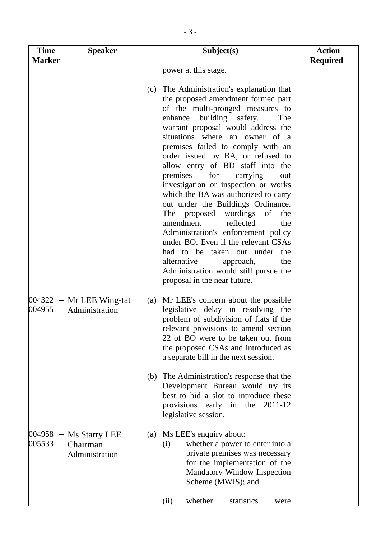| <b>Time</b><br><b>Marker</b> | <b>Speaker</b>                              | Subject(s)                                                                                                                                                                                                                                                                                                                                                                                                                                                                                                                                                                                                                                                                                                                                                                                                                                  | <b>Action</b><br><b>Required</b> |
|------------------------------|---------------------------------------------|---------------------------------------------------------------------------------------------------------------------------------------------------------------------------------------------------------------------------------------------------------------------------------------------------------------------------------------------------------------------------------------------------------------------------------------------------------------------------------------------------------------------------------------------------------------------------------------------------------------------------------------------------------------------------------------------------------------------------------------------------------------------------------------------------------------------------------------------|----------------------------------|
|                              |                                             | power at this stage.<br>The Administration's explanation that<br>(c)<br>the proposed amendment formed part<br>of the multi-pronged measures to<br>building safety.<br>enhance<br>The<br>warrant proposal would address the<br>situations where an owner of a<br>premises failed to comply with an<br>order issued by BA, or refused to<br>allow entry of BD staff into the<br>premises<br>for<br>carrying<br>out<br>investigation or inspection or works<br>which the BA was authorized to carry<br>out under the Buildings Ordinance.<br>The proposed<br>wordings<br>of<br>the<br>reflected<br>amendment<br>the<br>Administration's enforcement policy<br>under BO. Even if the relevant CSAs<br>had to be taken out under the<br>alternative<br>the<br>approach,<br>Administration would still pursue the<br>proposal in the near future. |                                  |
| $004322 -$<br>004955         | Mr LEE Wing-tat<br>Administration           | Mr LEE's concern about the possible<br>(a)<br>legislative delay in resolving the<br>problem of subdivision of flats if the<br>relevant provisions to amend section<br>22 of BO were to be taken out from<br>the proposed CSAs and introduced as<br>a separate bill in the next session.<br>(b) The Administration's response that the<br>Development Bureau would try its<br>best to bid a slot to introduce these<br>provisions early in the 2011-12<br>legislative session.                                                                                                                                                                                                                                                                                                                                                               |                                  |
| 004958<br>005533             | Ms Starry LEE<br>Chairman<br>Administration | Ms LEE's enquiry about:<br>(a)<br>whether a power to enter into a<br>(i)<br>private premises was necessary<br>for the implementation of the<br><b>Mandatory Window Inspection</b><br>Scheme (MWIS); and<br>whether<br>statistics<br>(ii)<br>were                                                                                                                                                                                                                                                                                                                                                                                                                                                                                                                                                                                            |                                  |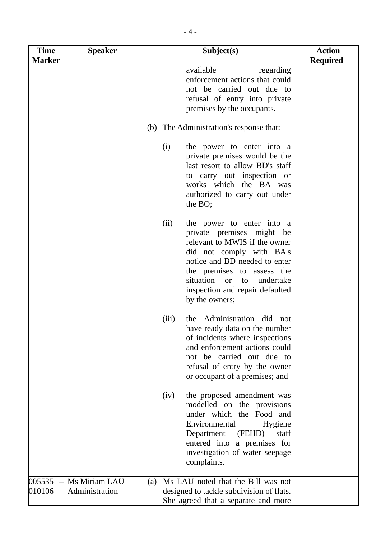| <b>Time</b><br><b>Marker</b> | <b>Speaker</b>                  | Subject(s)                                                                                                                                                                                                                                                                                       | <b>Action</b><br><b>Required</b> |
|------------------------------|---------------------------------|--------------------------------------------------------------------------------------------------------------------------------------------------------------------------------------------------------------------------------------------------------------------------------------------------|----------------------------------|
|                              |                                 | available<br>regarding<br>enforcement actions that could<br>not be carried out due to<br>refusal of entry into private<br>premises by the occupants.                                                                                                                                             |                                  |
|                              |                                 | (b) The Administration's response that:                                                                                                                                                                                                                                                          |                                  |
|                              |                                 | (i)<br>the power to enter into a<br>private premises would be the<br>last resort to allow BD's staff<br>to carry out inspection or<br>works which the BA was<br>authorized to carry out under<br>the BO;                                                                                         |                                  |
|                              |                                 | (ii)<br>the power to enter into a<br>private premises might be<br>relevant to MWIS if the owner<br>did not comply with BA's<br>notice and BD needed to enter<br>the premises to assess the<br>situation<br>undertake<br><sub>or</sub><br>to<br>inspection and repair defaulted<br>by the owners; |                                  |
|                              |                                 | the Administration did not<br>(iii)<br>have ready data on the number<br>of incidents where inspections<br>and enforcement actions could<br>not be carried out due to<br>refusal of entry by the owner<br>or occupant of a premises; and                                                          |                                  |
|                              |                                 | the proposed amendment was<br>(iv)<br>modelled on the provisions<br>under which the Food and<br>Environmental<br>Hygiene<br>Department<br>(FEHD)<br>staff<br>entered into a premises for<br>investigation of water seepage<br>complaints.                                                        |                                  |
| 005535<br>010106             | Ms Miriam LAU<br>Administration | Ms LAU noted that the Bill was not<br>(a)<br>designed to tackle subdivision of flats.<br>She agreed that a separate and more                                                                                                                                                                     |                                  |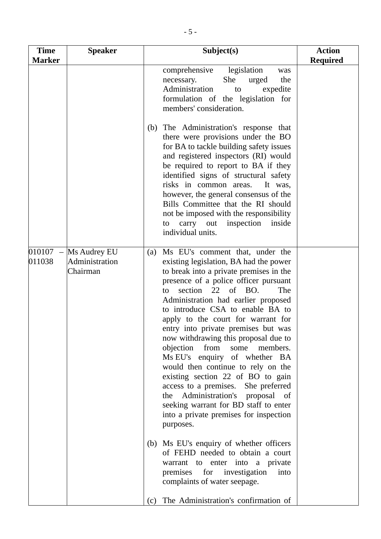| <b>Time</b><br><b>Marker</b>      | <b>Speaker</b>                             | Subject(s)                                                                                                                                                                                                                                                                                                                                                                                                                                                                                                                                                                                                                                                                                                                                                                                                                                                                                                                                                                                  | <b>Action</b><br><b>Required</b> |
|-----------------------------------|--------------------------------------------|---------------------------------------------------------------------------------------------------------------------------------------------------------------------------------------------------------------------------------------------------------------------------------------------------------------------------------------------------------------------------------------------------------------------------------------------------------------------------------------------------------------------------------------------------------------------------------------------------------------------------------------------------------------------------------------------------------------------------------------------------------------------------------------------------------------------------------------------------------------------------------------------------------------------------------------------------------------------------------------------|----------------------------------|
|                                   |                                            | comprehensive<br>legislation<br>was<br>She<br>urged<br>the<br>necessary.<br>Administration<br>expedite<br>to<br>formulation of the legislation for<br>members' consideration.<br>The Administration's response that<br>(b)<br>there were provisions under the BO<br>for BA to tackle building safety issues<br>and registered inspectors (RI) would<br>be required to report to BA if they<br>identified signs of structural safety<br>risks in common areas.<br>It was,<br>however, the general consensus of the<br>Bills Committee that the RI should<br>not be imposed with the responsibility<br>inspection<br>inside<br>carry out<br>to<br>individual units.                                                                                                                                                                                                                                                                                                                           |                                  |
| 010107<br>$\frac{1}{2}$<br>011038 | Ms Audrey EU<br>Administration<br>Chairman | Ms EU's comment that, under the<br>(a)<br>existing legislation, BA had the power<br>to break into a private premises in the<br>presence of a police officer pursuant<br>of<br>BO.<br>22<br>The<br>section<br>to<br>Administration had earlier proposed<br>to introduce CSA to enable BA to<br>apply to the court for warrant for<br>entry into private premises but was<br>now withdrawing this proposal due to<br>objection from<br>some<br>members.<br>Ms EU's enquiry of whether BA<br>would then continue to rely on the<br>existing section 22 of BO to gain<br>access to a premises. She preferred<br>Administration's proposal<br>the<br>- of<br>seeking warrant for BD staff to enter<br>into a private premises for inspection<br>purposes.<br>(b) Ms EU's enquiry of whether officers<br>of FEHD needed to obtain a court<br>warrant to enter into a private<br>premises for investigation<br>into<br>complaints of water seepage.<br>The Administration's confirmation of<br>(c) |                                  |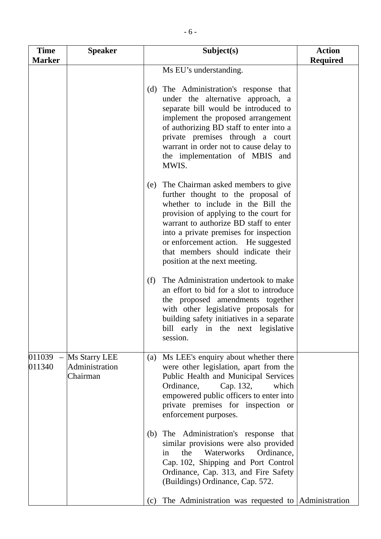| <b>Time</b><br><b>Marker</b> | <b>Speaker</b>                              | Subject(s)                                                                                                                                                                                                                                                                                                                                                        | <b>Action</b><br><b>Required</b> |
|------------------------------|---------------------------------------------|-------------------------------------------------------------------------------------------------------------------------------------------------------------------------------------------------------------------------------------------------------------------------------------------------------------------------------------------------------------------|----------------------------------|
|                              |                                             | Ms EU's understanding.                                                                                                                                                                                                                                                                                                                                            |                                  |
|                              |                                             | The Administration's response that<br>(d)<br>under the alternative approach, a<br>separate bill would be introduced to<br>implement the proposed arrangement<br>of authorizing BD staff to enter into a<br>private premises through a court<br>warrant in order not to cause delay to<br>the implementation of MBIS and<br>MWIS.                                  |                                  |
|                              |                                             | The Chairman asked members to give<br>(e)<br>further thought to the proposal of<br>whether to include in the Bill the<br>provision of applying to the court for<br>warrant to authorize BD staff to enter<br>into a private premises for inspection<br>or enforcement action. He suggested<br>that members should indicate their<br>position at the next meeting. |                                  |
|                              |                                             | The Administration undertook to make<br>(f)<br>an effort to bid for a slot to introduce<br>the proposed amendments together<br>with other legislative proposals for<br>building safety initiatives in a separate<br>bill early in the next legislative<br>session.                                                                                                |                                  |
| 011039<br>011340             | Ms Starry LEE<br>Administration<br>Chairman | Ms LEE's enquiry about whether there<br>(a)<br>were other legislation, apart from the<br>Public Health and Municipal Services<br>Ordinance,<br>Cap. 132,<br>which<br>empowered public officers to enter into<br>private premises for inspection or<br>enforcement purposes.                                                                                       |                                  |
|                              |                                             | The Administration's response that<br>(b)<br>similar provisions were also provided<br>Waterworks<br>the<br>Ordinance,<br>in<br>Cap. 102, Shipping and Port Control<br>Ordinance, Cap. 313, and Fire Safety<br>(Buildings) Ordinance, Cap. 572.                                                                                                                    |                                  |
|                              |                                             | The Administration was requested to Administration<br>(c)                                                                                                                                                                                                                                                                                                         |                                  |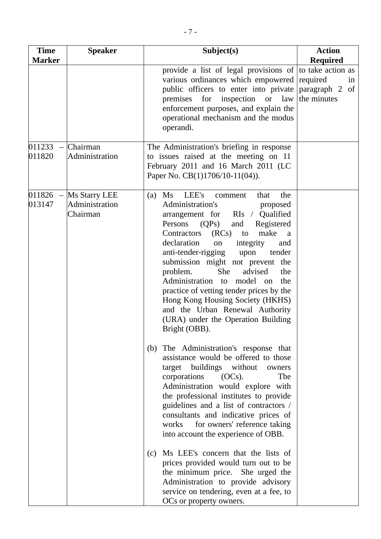| <b>Time</b>                  | <b>Speaker</b>                              | Subject(s)                                                                                                                                                                                                                                                                                                                                                                                                                                                                                                                                                                                                                                                                                                                                                                                                                                                                                                                                                                                                                                                                                                                                                                                                                            | <b>Action</b>                                                           |
|------------------------------|---------------------------------------------|---------------------------------------------------------------------------------------------------------------------------------------------------------------------------------------------------------------------------------------------------------------------------------------------------------------------------------------------------------------------------------------------------------------------------------------------------------------------------------------------------------------------------------------------------------------------------------------------------------------------------------------------------------------------------------------------------------------------------------------------------------------------------------------------------------------------------------------------------------------------------------------------------------------------------------------------------------------------------------------------------------------------------------------------------------------------------------------------------------------------------------------------------------------------------------------------------------------------------------------|-------------------------------------------------------------------------|
| <b>Marker</b>                |                                             |                                                                                                                                                                                                                                                                                                                                                                                                                                                                                                                                                                                                                                                                                                                                                                                                                                                                                                                                                                                                                                                                                                                                                                                                                                       | <b>Required</b>                                                         |
|                              |                                             | provide a list of legal provisions of<br>various ordinances which empowered<br>public officers to enter into private<br>inspection or<br>law<br>premises<br>for<br>enforcement purposes, and explain the<br>operational mechanism and the modus<br>operandi.                                                                                                                                                                                                                                                                                                                                                                                                                                                                                                                                                                                                                                                                                                                                                                                                                                                                                                                                                                          | to take action as<br>required<br>in<br>paragraph 2<br>of<br>the minutes |
| 011233<br>$\equiv$<br>011820 | Chairman<br>Administration                  | The Administration's briefing in response<br>to issues raised at the meeting on 11<br>February 2011 and 16 March 2011 (LC<br>Paper No. CB(1)1706/10-11(04)).                                                                                                                                                                                                                                                                                                                                                                                                                                                                                                                                                                                                                                                                                                                                                                                                                                                                                                                                                                                                                                                                          |                                                                         |
| $011826 -$<br>013147         | Ms Starry LEE<br>Administration<br>Chairman | LEE's<br>the<br>(a)<br>Ms<br>that<br>comment<br>Administration's<br>proposed<br>RIs / Qualified<br>arrangement for<br>Persons<br>(QPs)<br>and<br>Registered<br>make<br>Contractors<br>(RCs)<br>to<br>a<br>declaration<br>integrity<br>on<br>and<br>anti-tender-rigging<br>tender<br>upon<br>submission might not prevent the<br>She<br>problem.<br>advised<br>the<br>Administration to<br>model on<br>the<br>practice of vetting tender prices by the<br>Hong Kong Housing Society (HKHS)<br>and the Urban Renewal Authority<br>(URA) under the Operation Building<br>Bright (OBB).<br>(b) The Administration's response that<br>assistance would be offered to those<br>target buildings without<br>owners<br>corporations<br>$(OCs)$ .<br>The<br>Administration would explore with<br>the professional institutes to provide<br>guidelines and a list of contractors /<br>consultants and indicative prices of<br>for owners' reference taking<br>works<br>into account the experience of OBB.<br>Ms LEE's concern that the lists of<br>(c)<br>prices provided would turn out to be<br>the minimum price. She urged the<br>Administration to provide advisory<br>service on tendering, even at a fee, to<br>OCs or property owners. |                                                                         |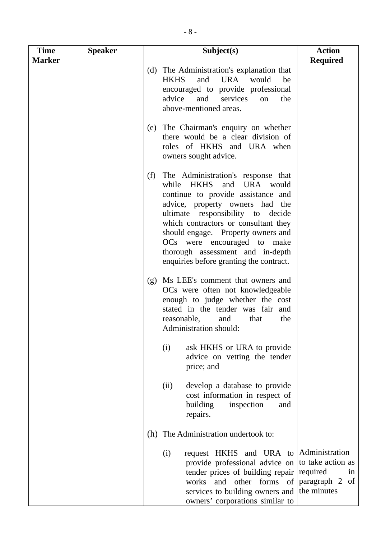| <b>Time</b><br><b>Marker</b> | <b>Speaker</b> | Subject(s)                                                                                                                                                                                                                                                                                                                                                                         | <b>Action</b><br><b>Required</b> |
|------------------------------|----------------|------------------------------------------------------------------------------------------------------------------------------------------------------------------------------------------------------------------------------------------------------------------------------------------------------------------------------------------------------------------------------------|----------------------------------|
|                              |                | The Administration's explanation that<br>(d)<br>and<br><b>HKHS</b><br>URA would<br>be<br>encouraged to provide professional<br>advice<br>and<br>services<br>the<br>on<br>above-mentioned areas.                                                                                                                                                                                    |                                  |
|                              |                | The Chairman's enquiry on whether<br>(e)<br>there would be a clear division of<br>roles of HKHS and URA when<br>owners sought advice.                                                                                                                                                                                                                                              |                                  |
|                              |                | (f)<br>The Administration's response that<br>while HKHS<br>and URA would<br>continue to provide assistance and<br>advice, property owners had the<br>ultimate responsibility to decide<br>which contractors or consultant they<br>should engage. Property owners and<br>OCs were encouraged to make<br>thorough assessment and in-depth<br>enquiries before granting the contract. |                                  |
|                              |                | (g) Ms LEE's comment that owners and<br>OCs were often not knowledgeable<br>enough to judge whether the cost<br>stated in the tender was fair and<br>reasonable,<br>and<br>the<br>that<br>Administration should:                                                                                                                                                                   |                                  |
|                              |                | (i)<br>ask HKHS or URA to provide<br>advice on vetting the tender<br>price; and                                                                                                                                                                                                                                                                                                    |                                  |
|                              |                | develop a database to provide<br>(ii)<br>cost information in respect of<br>building<br>inspection<br>and<br>repairs.                                                                                                                                                                                                                                                               |                                  |
|                              |                | The Administration undertook to:<br>(h)                                                                                                                                                                                                                                                                                                                                            |                                  |
|                              |                | request HKHS and URA to Administration<br>(i)<br>provide professional advice on<br>tender prices of building repair required<br>works and other forms of paragraph 2<br>services to building owners and the minutes<br>owners' corporations similar to                                                                                                                             | to take action as<br>in<br>of    |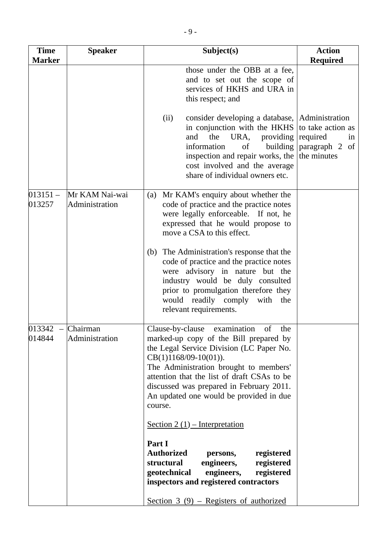| <b>Time</b><br><b>Marker</b> | <b>Speaker</b>                   | Subject(s)                                                                                                                                                                                                                                                                                                                                          | <b>Action</b><br><b>Required</b>                                     |
|------------------------------|----------------------------------|-----------------------------------------------------------------------------------------------------------------------------------------------------------------------------------------------------------------------------------------------------------------------------------------------------------------------------------------------------|----------------------------------------------------------------------|
|                              |                                  | those under the OBB at a fee,<br>and to set out the scope of<br>services of HKHS and URA in<br>this respect; and                                                                                                                                                                                                                                    |                                                                      |
|                              |                                  | consider developing a database, Administration<br>(ii)<br>in conjunction with the HKHS<br>the<br>URA,<br>providing<br>and<br>information<br>of<br>building<br>inspection and repair works, the<br>cost involved and the average<br>share of individual owners etc.                                                                                  | to take action as<br>required<br>in<br>paragraph 2 of<br>the minutes |
| $013151 -$<br>013257         | Mr KAM Nai-wai<br>Administration | (a) Mr KAM's enquiry about whether the<br>code of practice and the practice notes<br>were legally enforceable. If not, he<br>expressed that he would propose to<br>move a CSA to this effect.<br>The Administration's response that the<br>(b)<br>code of practice and the practice notes                                                           |                                                                      |
|                              |                                  | were advisory in nature but the<br>industry would be duly consulted<br>prior to promulgation therefore they<br>would readily comply<br>with the<br>relevant requirements.                                                                                                                                                                           |                                                                      |
| 013342<br>014844             | Chairman<br>Administration       | Clause-by-clause examination of<br>the.<br>marked-up copy of the Bill prepared by<br>the Legal Service Division (LC Paper No.<br>$CB(1)1168/09-10(01)).$<br>The Administration brought to members'<br>attention that the list of draft CSAs to be<br>discussed was prepared in February 2011.<br>An updated one would be provided in due<br>course. |                                                                      |
|                              |                                  | Section 2 $(1)$ – Interpretation<br>Part I<br><b>Authorized</b><br>registered<br>persons,<br>structural<br>engineers,<br>registered<br>engineers,<br>geotechnical<br>registered<br>inspectors and registered contractors                                                                                                                            |                                                                      |
|                              |                                  | Section $3(9)$ – Registers of authorized                                                                                                                                                                                                                                                                                                            |                                                                      |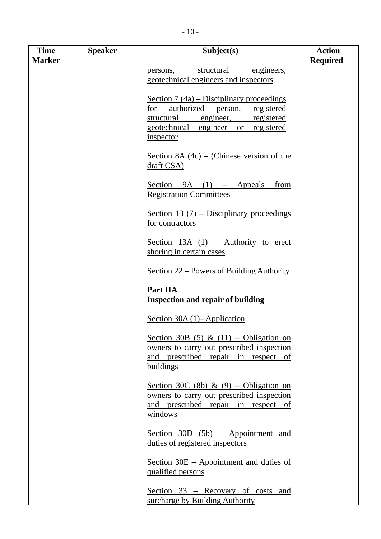|  | $-10-$ |  |
|--|--------|--|
|  |        |  |

| <b>Time</b>   | <b>Speaker</b> | Subject(s)                                                                                                                                                                                  | <b>Action</b>   |
|---------------|----------------|---------------------------------------------------------------------------------------------------------------------------------------------------------------------------------------------|-----------------|
| <b>Marker</b> |                |                                                                                                                                                                                             | <b>Required</b> |
|               |                | structural<br>engineers,<br>persons,<br>geotechnical engineers and inspectors                                                                                                               |                 |
|               |                | Section $7(4a)$ – Disciplinary proceedings<br>authorized<br>for<br>registered<br>person,<br>structural<br>engineer,<br>registered<br>geotechnical<br>or registered<br>engineer<br>inspector |                 |
|               |                | Section 8A $(4c)$ – (Chinese version of the<br>draft CSA)                                                                                                                                   |                 |
|               |                | Section<br>$9A$ (1) – Appeals<br>from<br><b>Registration Committees</b>                                                                                                                     |                 |
|               |                | Section 13 $(7)$ – Disciplinary proceedings<br>for contractors                                                                                                                              |                 |
|               |                | Section $13A(1)$ – Authority to erect<br>shoring in certain cases                                                                                                                           |                 |
|               |                | Section 22 – Powers of Building Authority                                                                                                                                                   |                 |
|               |                | Part IIA<br><b>Inspection and repair of building</b>                                                                                                                                        |                 |
|               |                | Section 30A $(1)$ – Application                                                                                                                                                             |                 |
|               |                | Section 30B (5) & (11) – Obligation on<br>owners to carry out prescribed inspection<br>and prescribed repair in respect of<br>buildings                                                     |                 |
|               |                | Section 30C (8b) & (9) – Obligation on<br>owners to carry out prescribed inspection<br>and prescribed repair in respect of<br>windows                                                       |                 |
|               |                | Section $30D$ $(5b)$ – Appointment and<br>duties of registered inspectors                                                                                                                   |                 |
|               |                | Section 30E – Appointment and duties of<br>qualified persons                                                                                                                                |                 |
|               |                | Section 33 – Recovery of costs and<br>surcharge by Building Authority                                                                                                                       |                 |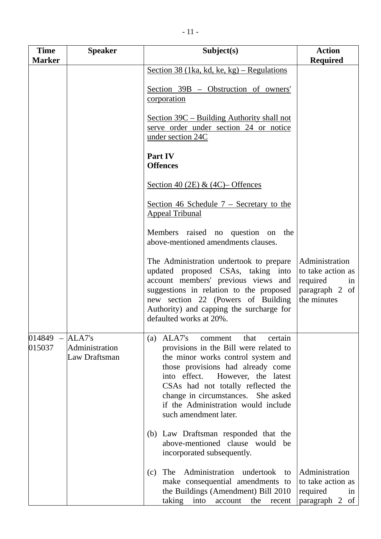| <b>Time</b><br><b>Marker</b> | <b>Speaker</b>                            | Subject(s)                                                                                                                                                                                                                                                                                                                                          | <b>Action</b><br><b>Required</b>                                                       |
|------------------------------|-------------------------------------------|-----------------------------------------------------------------------------------------------------------------------------------------------------------------------------------------------------------------------------------------------------------------------------------------------------------------------------------------------------|----------------------------------------------------------------------------------------|
|                              |                                           | Section 38 (1ka, kd, ke, kg) – Regulations                                                                                                                                                                                                                                                                                                          |                                                                                        |
|                              |                                           | Section 39B - Obstruction of owners'<br>corporation                                                                                                                                                                                                                                                                                                 |                                                                                        |
|                              |                                           | Section 39C – Building Authority shall not<br>serve order under section 24 or notice<br>under section 24C                                                                                                                                                                                                                                           |                                                                                        |
|                              |                                           | Part IV<br><b>Offences</b>                                                                                                                                                                                                                                                                                                                          |                                                                                        |
|                              |                                           | Section 40 (2E) & (4C)– Offences                                                                                                                                                                                                                                                                                                                    |                                                                                        |
|                              |                                           | Section 46 Schedule $7 -$ Secretary to the<br><b>Appeal Tribunal</b>                                                                                                                                                                                                                                                                                |                                                                                        |
|                              |                                           | Members raised no question on<br>the<br>above-mentioned amendments clauses.                                                                                                                                                                                                                                                                         |                                                                                        |
|                              |                                           | The Administration undertook to prepare<br>updated proposed CSAs, taking into<br>account members' previous views and<br>suggestions in relation to the proposed<br>new section 22 (Powers of Building<br>Authority) and capping the surcharge for<br>defaulted works at 20%.                                                                        | Administration<br>to take action as<br>required<br>in<br>paragraph 2 of<br>the minutes |
| 014849<br>015037             | ALA7's<br>Administration<br>Law Draftsman | ALA7's<br>certain<br>comment<br>that<br>(a)<br>provisions in the Bill were related to<br>the minor works control system and<br>those provisions had already come<br>However, the latest<br>into effect.<br>CSAs had not totally reflected the<br>change in circumstances. She asked<br>if the Administration would include<br>such amendment later. |                                                                                        |
|                              |                                           | (b) Law Draftsman responded that the<br>above-mentioned clause would be<br>incorporated subsequently.                                                                                                                                                                                                                                               |                                                                                        |
|                              |                                           | The Administration undertook<br>(c)<br>to<br>make consequential amendments to<br>the Buildings (Amendment) Bill 2010<br>taking<br>into<br>account<br>the<br>recent                                                                                                                                                                                  | Administration<br>to take action as<br>required<br>in<br>paragraph 2 of                |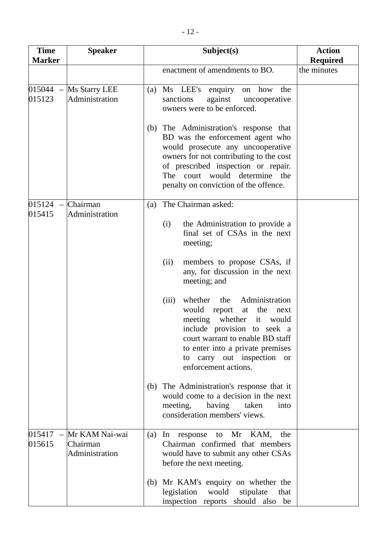| <b>Time</b><br><b>Marker</b>                 | <b>Speaker</b>                               | Subject(s)                                                                                                                                                                                                                                                                                                                                                      | <b>Action</b><br><b>Required</b> |
|----------------------------------------------|----------------------------------------------|-----------------------------------------------------------------------------------------------------------------------------------------------------------------------------------------------------------------------------------------------------------------------------------------------------------------------------------------------------------------|----------------------------------|
|                                              |                                              | enactment of amendments to BO.                                                                                                                                                                                                                                                                                                                                  | the minutes                      |
| $015044 -$<br>015123                         | Ms Starry LEE<br>Administration              | Ms LEE's<br>how<br>enquiry<br>the<br>on<br>(a)<br>sanctions<br>against<br>uncooperative<br>owners were to be enforced.<br>The Administration's response that<br>(b)<br>BD was the enforcement agent who<br>would prosecute any uncooperative<br>owners for not contributing to the cost<br>of prescribed inspection or repair.<br>The court would determine the |                                  |
| 015124                                       | Chairman                                     | penalty on conviction of the offence.<br>The Chairman asked:<br>(a)                                                                                                                                                                                                                                                                                             |                                  |
| 015415                                       | Administration                               | (i)<br>the Administration to provide a<br>final set of CSAs in the next<br>meeting;                                                                                                                                                                                                                                                                             |                                  |
|                                              |                                              | (ii)<br>members to propose CSAs, if<br>any, for discussion in the next<br>meeting; and                                                                                                                                                                                                                                                                          |                                  |
|                                              |                                              | Administration<br>(iii)<br>whether<br>the<br>would report<br>the<br>at<br>next<br>whether<br>meeting<br>it<br>would<br>include provision to seek a<br>court warrant to enable BD staff<br>to enter into a private premises<br>carry out inspection or<br>to<br>enforcement actions.                                                                             |                                  |
|                                              |                                              | The Administration's response that it<br>(b)<br>would come to a decision in the next<br>meeting,<br>having<br>taken<br>into<br>consideration members' views.                                                                                                                                                                                                    |                                  |
| 015417<br>$\overline{\phantom{0}}$<br>015615 | Mr KAM Nai-wai<br>Chairman<br>Administration | Mr KAM,<br>the<br>(a)<br>$\ln$<br>response<br>to<br>Chairman confirmed that members<br>would have to submit any other CSAs<br>before the next meeting.                                                                                                                                                                                                          |                                  |
|                                              |                                              | Mr KAM's enquiry on whether the<br>(b)<br>legislation<br>would<br>stipulate<br>that<br>inspection reports should also be                                                                                                                                                                                                                                        |                                  |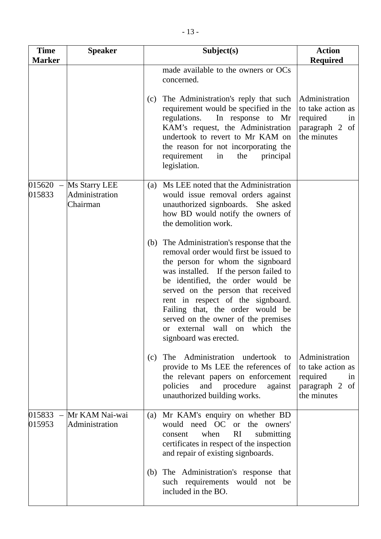| <b>Time</b><br><b>Marker</b>                 | <b>Speaker</b>                              | Subject(s)                                                                                                                                                                                                                                                                                                                                                                                                                   | <b>Action</b><br><b>Required</b>                                                       |
|----------------------------------------------|---------------------------------------------|------------------------------------------------------------------------------------------------------------------------------------------------------------------------------------------------------------------------------------------------------------------------------------------------------------------------------------------------------------------------------------------------------------------------------|----------------------------------------------------------------------------------------|
|                                              |                                             | made available to the owners or OCs<br>concerned.                                                                                                                                                                                                                                                                                                                                                                            |                                                                                        |
|                                              |                                             | The Administration's reply that such<br>(c)<br>requirement would be specified in the<br>regulations.<br>In response to Mr<br>KAM's request, the Administration<br>undertook to revert to Mr KAM on<br>the reason for not incorporating the<br>requirement<br>the<br>in<br>principal<br>legislation.                                                                                                                          | Administration<br>to take action as<br>required<br>in<br>paragraph 2 of<br>the minutes |
| 015620<br>015833                             | Ms Starry LEE<br>Administration<br>Chairman | Ms LEE noted that the Administration<br>(a)<br>would issue removal orders against<br>unauthorized signboards. She asked<br>how BD would notify the owners of<br>the demolition work.                                                                                                                                                                                                                                         |                                                                                        |
|                                              |                                             | The Administration's response that the<br>(b)<br>removal order would first be issued to<br>the person for whom the signboard<br>was installed. If the person failed to<br>be identified, the order would be<br>served on the person that received<br>rent in respect of the signboard.<br>Failing that, the order would be<br>served on the owner of the premises<br>or external wall on which the<br>signboard was erected. |                                                                                        |
|                                              |                                             | The Administration undertook<br>(c)<br>to<br>provide to Ms LEE the references of<br>the relevant papers on enforcement<br>policies<br>and procedure<br>against<br>unauthorized building works.                                                                                                                                                                                                                               | Administration<br>to take action as<br>required<br>1n<br>paragraph 2 of<br>the minutes |
| 015833<br>$\overline{\phantom{a}}$<br>015953 | Mr KAM Nai-wai<br>Administration            | Mr KAM's enquiry on whether BD<br>(a)<br>would need OC or the owners'<br>RI<br>when<br>submitting<br>consent<br>certificates in respect of the inspection<br>and repair of existing signboards.                                                                                                                                                                                                                              |                                                                                        |
|                                              |                                             | The Administration's response that<br>(b)<br>such requirements would not be<br>included in the BO.                                                                                                                                                                                                                                                                                                                           |                                                                                        |